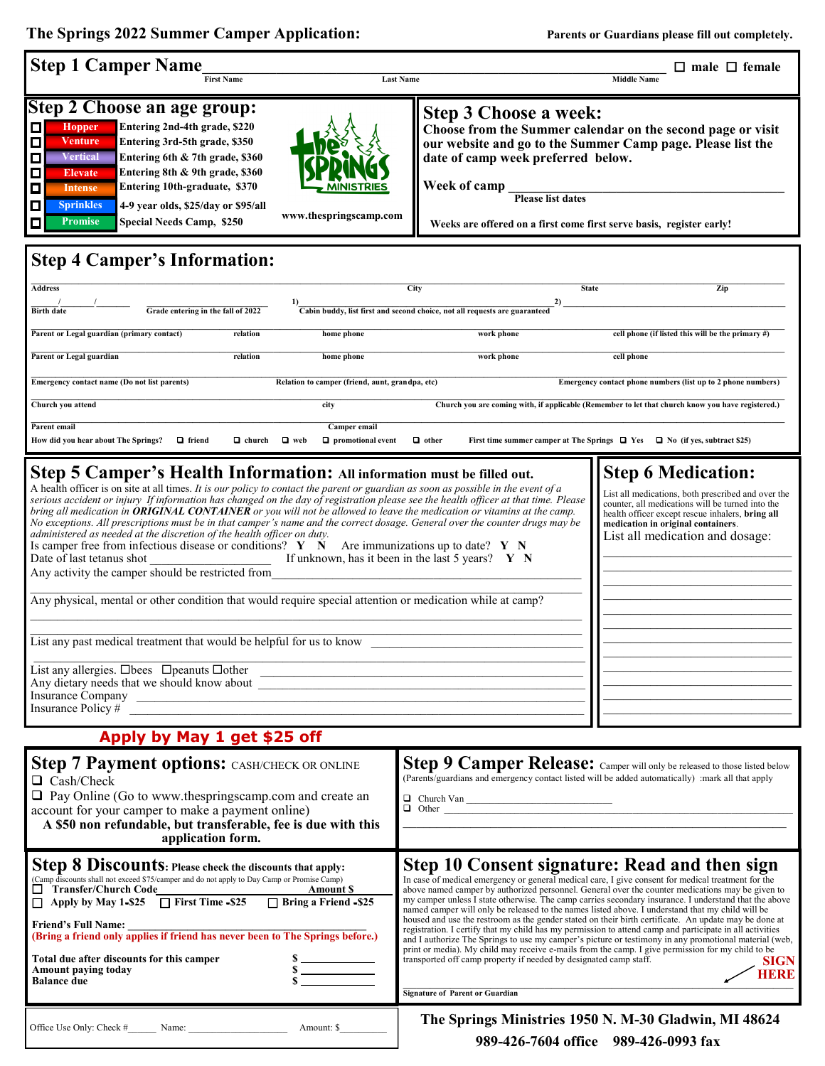The Springs 2022 Summer Camper Application: **Parents or Guardians please fill out completely.** 

 $\mathbf l$ 

| <b>Step 1 Camper Name</b><br><b>First Name</b>                                                                                                                                                                                                                                                                                                                                                                                                                                                                                                                                                                                                                                                                                                                                                                                                                                                                                                                                                                                                                                                                                                                                                                                                                                                                                                                                                                                                                                                                                                                                     | $\Box$ male $\Box$ female<br><b>Last Name</b><br><b>Middle Name</b>                                                                                                                                                                                                                                                                                                                                                                                                                                                                                                                                                                                                                                                                                                                                                                                                                                                                                                                                                                    |
|------------------------------------------------------------------------------------------------------------------------------------------------------------------------------------------------------------------------------------------------------------------------------------------------------------------------------------------------------------------------------------------------------------------------------------------------------------------------------------------------------------------------------------------------------------------------------------------------------------------------------------------------------------------------------------------------------------------------------------------------------------------------------------------------------------------------------------------------------------------------------------------------------------------------------------------------------------------------------------------------------------------------------------------------------------------------------------------------------------------------------------------------------------------------------------------------------------------------------------------------------------------------------------------------------------------------------------------------------------------------------------------------------------------------------------------------------------------------------------------------------------------------------------------------------------------------------------|----------------------------------------------------------------------------------------------------------------------------------------------------------------------------------------------------------------------------------------------------------------------------------------------------------------------------------------------------------------------------------------------------------------------------------------------------------------------------------------------------------------------------------------------------------------------------------------------------------------------------------------------------------------------------------------------------------------------------------------------------------------------------------------------------------------------------------------------------------------------------------------------------------------------------------------------------------------------------------------------------------------------------------------|
| Step 2 Choose an age group:<br>Entering 2nd-4th grade, \$220<br>О<br>Hopper<br><b>Venture</b><br>Entering 3rd-5th grade, \$350<br>$\Box$<br>Vertical<br>О<br>Entering 6th & 7th grade, \$360<br>О<br>Entering 8th & 9th grade, \$360<br><b>Elevate</b><br>Entering 10th-graduate, \$370<br>П<br><b>Intense</b><br>$\Box$<br>4-9 year olds, \$25/day or \$95/all<br><b>Sprinkles</b><br>www.thespringscamp.com<br><b>Promise</b><br><b>Special Needs Camp,\$250</b><br>$\Box$                                                                                                                                                                                                                                                                                                                                                                                                                                                                                                                                                                                                                                                                                                                                                                                                                                                                                                                                                                                                                                                                                                       | <b>Step 3 Choose a week:</b><br>Choose from the Summer calendar on the second page or visit<br>our website and go to the Summer Camp page. Please list the<br>date of camp week preferred below.<br>Week of camp<br><b>Please list dates</b><br>Weeks are offered on a first come first serve basis, register early!                                                                                                                                                                                                                                                                                                                                                                                                                                                                                                                                                                                                                                                                                                                   |
| <b>Step 4 Camper's Information:</b>                                                                                                                                                                                                                                                                                                                                                                                                                                                                                                                                                                                                                                                                                                                                                                                                                                                                                                                                                                                                                                                                                                                                                                                                                                                                                                                                                                                                                                                                                                                                                |                                                                                                                                                                                                                                                                                                                                                                                                                                                                                                                                                                                                                                                                                                                                                                                                                                                                                                                                                                                                                                        |
| <b>Address</b><br>City<br>Zip<br><b>State</b><br>1)<br>2)<br><b>Birth date</b><br>Grade entering in the fall of 2022<br>Cabin buddy, list first and second choice, not all requests are guaranteed                                                                                                                                                                                                                                                                                                                                                                                                                                                                                                                                                                                                                                                                                                                                                                                                                                                                                                                                                                                                                                                                                                                                                                                                                                                                                                                                                                                 |                                                                                                                                                                                                                                                                                                                                                                                                                                                                                                                                                                                                                                                                                                                                                                                                                                                                                                                                                                                                                                        |
| Parent or Legal guardian (primary contact)<br>relation<br>home phone                                                                                                                                                                                                                                                                                                                                                                                                                                                                                                                                                                                                                                                                                                                                                                                                                                                                                                                                                                                                                                                                                                                                                                                                                                                                                                                                                                                                                                                                                                               | cell phone (if listed this will be the primary #)<br>work phone                                                                                                                                                                                                                                                                                                                                                                                                                                                                                                                                                                                                                                                                                                                                                                                                                                                                                                                                                                        |
| Parent or Legal guardian<br>home phone<br>relation                                                                                                                                                                                                                                                                                                                                                                                                                                                                                                                                                                                                                                                                                                                                                                                                                                                                                                                                                                                                                                                                                                                                                                                                                                                                                                                                                                                                                                                                                                                                 | cell phone<br>work phone                                                                                                                                                                                                                                                                                                                                                                                                                                                                                                                                                                                                                                                                                                                                                                                                                                                                                                                                                                                                               |
| Emergency contact name (Do not list parents)<br>Emergency contact phone numbers (list up to 2 phone numbers)<br>Relation to camper (friend, aunt, grandpa, etc)                                                                                                                                                                                                                                                                                                                                                                                                                                                                                                                                                                                                                                                                                                                                                                                                                                                                                                                                                                                                                                                                                                                                                                                                                                                                                                                                                                                                                    |                                                                                                                                                                                                                                                                                                                                                                                                                                                                                                                                                                                                                                                                                                                                                                                                                                                                                                                                                                                                                                        |
| Church you attend<br>Church you are coming with, if applicable (Remember to let that church know you have registered.)<br>city                                                                                                                                                                                                                                                                                                                                                                                                                                                                                                                                                                                                                                                                                                                                                                                                                                                                                                                                                                                                                                                                                                                                                                                                                                                                                                                                                                                                                                                     |                                                                                                                                                                                                                                                                                                                                                                                                                                                                                                                                                                                                                                                                                                                                                                                                                                                                                                                                                                                                                                        |
| Parent email<br>Camper email<br>$\Box$ web<br>$\Box$ other<br>How did you hear about The Springs?<br>$\Box$ friend<br>$\Box$ church<br>$\Box$ promotional event<br>First time summer camper at The Springs $\Box$ Yes $\Box$ No (if yes, subtract \$25)                                                                                                                                                                                                                                                                                                                                                                                                                                                                                                                                                                                                                                                                                                                                                                                                                                                                                                                                                                                                                                                                                                                                                                                                                                                                                                                            |                                                                                                                                                                                                                                                                                                                                                                                                                                                                                                                                                                                                                                                                                                                                                                                                                                                                                                                                                                                                                                        |
| <b>Step 6 Medication:</b><br>Step 5 Camper's Health Information: All information must be filled out.<br>A health officer is on site at all times. It is our policy to contact the parent or guardian as soon as possible in the event of a<br>List all medications, both prescribed and over the<br>serious accident or injury If information has changed on the day of registration please see the health officer at that time. Please<br>counter, all medications will be turned into the<br>bring all medication in <b>ORIGINAL CONTAINER</b> or you will not be allowed to leave the medication or vitamins at the camp.<br>health officer except rescue inhalers, bring all<br>No exceptions. All prescriptions must be in that camper's name and the correct dosage. General over the counter drugs may be<br>medication in original containers.<br>administered as needed at the discretion of the health officer on duty.<br>List all medication and dosage:<br>Is camper free from infectious disease or conditions? $Y \ N$ Are immunizations up to date? $Y \ N$<br>If unknown, has it been in the last 5 years? $Y \ N$<br>Date of last tetanus shot<br>Any activity the camper should be restricted from<br>Any physical, mental or other condition that would require special attention or medication while at camp?<br>List any past medical treatment that would be helpful for us to know<br>List any allergies. Obees Opeanuts Oother<br>List any allergies. $\Box$ bees $\Box$ peanuts $\Box$ other $\Box$<br>Insurance Policy #<br>Apply by May 1 get \$25 off |                                                                                                                                                                                                                                                                                                                                                                                                                                                                                                                                                                                                                                                                                                                                                                                                                                                                                                                                                                                                                                        |
|                                                                                                                                                                                                                                                                                                                                                                                                                                                                                                                                                                                                                                                                                                                                                                                                                                                                                                                                                                                                                                                                                                                                                                                                                                                                                                                                                                                                                                                                                                                                                                                    |                                                                                                                                                                                                                                                                                                                                                                                                                                                                                                                                                                                                                                                                                                                                                                                                                                                                                                                                                                                                                                        |
| Step 7 Payment options: CASH/CHECK OR ONLINE<br>□ Cash/Check<br>$\Box$ Pay Online (Go to www.thespringscamp.com and create an<br>account for your camper to make a payment online)<br>A \$50 non refundable, but transferable, fee is due with this<br>application form.                                                                                                                                                                                                                                                                                                                                                                                                                                                                                                                                                                                                                                                                                                                                                                                                                                                                                                                                                                                                                                                                                                                                                                                                                                                                                                           | Step 9 Camper Release: Camper will only be released to those listed below<br>(Parents/guardians and emergency contact listed will be added automatically) :mark all that apply<br>$\Box$ Church Van<br>$\Box$ Other                                                                                                                                                                                                                                                                                                                                                                                                                                                                                                                                                                                                                                                                                                                                                                                                                    |
| <b>Step 8 Discounts:</b> Please check the discounts that apply:<br>(Camp discounts shall not exceed \$75/camper and do not apply to Day Camp or Promise Camp)<br>$\Box$ Transfer/Church Code<br><b>Amount S</b><br>Apply by May 1-\$25 $\sqrt{\phantom{a}}$ First Time -\$25<br>Bring a Friend -\$25<br>Friend's Full Name:<br>(Bring a friend only applies if friend has never been to The Springs before.)<br>Total due after discounts for this camper<br>Amount paying today<br><b>Balance due</b>                                                                                                                                                                                                                                                                                                                                                                                                                                                                                                                                                                                                                                                                                                                                                                                                                                                                                                                                                                                                                                                                             | Step 10 Consent signature: Read and then sign<br>In case of medical emergency or general medical care, I give consent for medical treatment for the<br>above named camper by authorized personnel. General over the counter medications may be given to<br>my camper unless I state otherwise. The camp carries secondary insurance. I understand that the above<br>named camper will only be released to the names listed above. I understand that my child will be<br>housed and use the restroom as the gender stated on their birth certificate. An update may be done at<br>registration. I certify that my child has my permission to attend camp and participate in all activities<br>and I authorize The Springs to use my camper's picture or testimony in any promotional material (web,<br>print or media). My child may receive e-mails from the camp. I give permission for my child to be<br>transported off camp property if needed by designated camp staff.<br>SIGN<br>HERE<br><b>Signature of Parent or Guardian</b> |
| Office Use Only: Check # Name:<br>Amount: \$                                                                                                                                                                                                                                                                                                                                                                                                                                                                                                                                                                                                                                                                                                                                                                                                                                                                                                                                                                                                                                                                                                                                                                                                                                                                                                                                                                                                                                                                                                                                       | The Springs Ministries 1950 N. M-30 Gladwin, MI 48624<br>989-426-7604 office 989-426-0993 fax                                                                                                                                                                                                                                                                                                                                                                                                                                                                                                                                                                                                                                                                                                                                                                                                                                                                                                                                          |